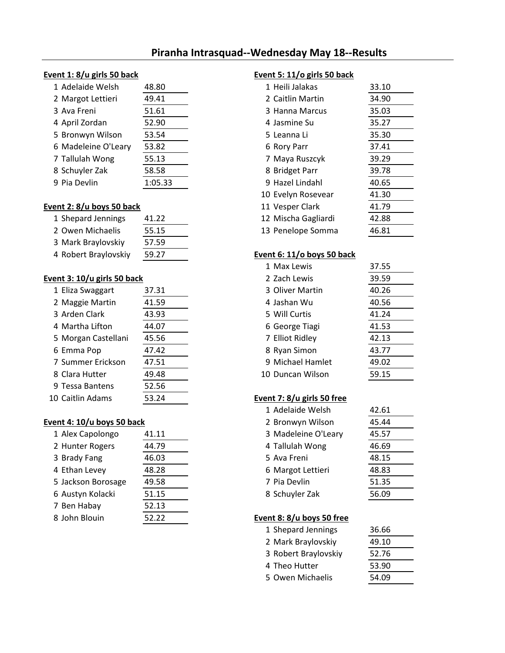# **Piranha Intrasquad--Wednesday May 18--Results**

### **Event 1: 8/u girls 50 back Event 5: 11/o girls 50 back**

| 1 Adelaide Welsh    | 48.80   | 1 Heili Jalakas  | 33.10 |
|---------------------|---------|------------------|-------|
| 2 Margot Lettieri   | 49.41   | 2 Caitlin Martin | 34.90 |
| 3 Ava Freni         | 51.61   | 3 Hanna Marcus   | 35.03 |
| 4 April Zordan      | 52.90   | 4 Jasmine Su     | 35.27 |
| 5 Bronwyn Wilson    | 53.54   | 5 Leanna Li      | 35.30 |
| 6 Madeleine O'Leary | 53.82   | 6 Rory Parr      | 37.41 |
| 7 Tallulah Wong     | 55.13   | 7 Maya Ruszcyk   | 39.29 |
| 8 Schuyler Zak      | 58.58   | 8 Bridget Parr   | 39.78 |
| 9 Pia Devlin        | 1:05.33 | 9 Hazel Lindahl  | 40.65 |

# **Event 2: 8/u boys 50 back**

| 1 Shepard Jennings   | 41.22 | 12 Mischa Gagliardi        | 42.88 |
|----------------------|-------|----------------------------|-------|
| 2 Owen Michaelis     | 55.15 | 13 Penelope Somma          | 46.81 |
| 3 Mark Braylovskiy   | 57.59 |                            |       |
| 4 Robert Braylovskiy | 59.27 | Event 6: 11/o boys 50 back |       |

### **Event 3: 10/u girls 50 back**

| 37.31 | 3 Oliver Martin            | 40.26 |
|-------|----------------------------|-------|
| 41.59 | 4 Jashan Wu                | 40.56 |
| 43.93 | 5 Will Curtis              | 41.24 |
| 44.07 | 6 George Tiagi             | 41.53 |
| 45.56 | 7 Elliot Ridley            | 42.13 |
| 47.42 | 8 Ryan Simon               | 43.77 |
| 47.51 | 9 Michael Hamlet           | 49.02 |
| 49.48 | 10 Duncan Wilson           | 59.15 |
| 52.56 |                            |       |
| 53.24 | Event 7: 8/u girls 50 free |       |
|       |                            |       |

### **Event 4: 10/u boys 50 back**

| 1 Alex Capolongo   | 41.11 | 3 Madeleine O'Leary       | 45.57 |
|--------------------|-------|---------------------------|-------|
| 2 Hunter Rogers    | 44.79 | 4 Tallulah Wong           | 46.69 |
| 3 Brady Fang       | 46.03 | 5 Ava Freni               | 48.15 |
| 4 Ethan Levey      | 48.28 | 6 Margot Lettieri         | 48.83 |
| 5 Jackson Borosage | 49.58 | 7 Pia Devlin              | 51.35 |
| 6 Austyn Kolacki   | 51.15 | 8 Schuyler Zak            | 56.09 |
| 7 Ben Habay        | 52.13 |                           |       |
| 8 John Blouin      | 52.22 | Event 8: 8/u boys 50 free |       |

| 1 Adelaide Welsh        | 48.80   | 1 Heili Jalakas     | 33.10 |
|-------------------------|---------|---------------------|-------|
| 2 Margot Lettieri       | 49.41   | 2 Caitlin Martin    | 34.90 |
| 3 Ava Freni             | 51.61   | 3 Hanna Marcus      | 35.03 |
| 4 April Zordan          | 52.90   | 4 Jasmine Su        | 35.27 |
| 5 Bronwyn Wilson        | 53.54   | 5 Leanna Li         | 35.30 |
| 6 Madeleine O'Leary     | 53.82   | 6 Rory Parr         | 37.41 |
| 7 Tallulah Wong         | 55.13   | 7 Maya Ruszcyk      | 39.29 |
| 8 Schuyler Zak          | 58.58   | 8 Bridget Parr      | 39.78 |
| 9 Pia Devlin            | 1:05.33 | 9 Hazel Lindahl     | 40.65 |
|                         |         | 10 Evelyn Rosevear  | 41.30 |
| ent 2: 8/u boys 50 back |         | 11 Vesper Clark     | 41.79 |
| 1 Shepard Jennings      | 41.22   | 12 Mischa Gagliardi | 42.88 |
| 2 Owen Michaelis        | 55.15   | 13 Penelope Somma   | 46.81 |
|                         |         |                     |       |

### Event 6: 11/o boys 50 back

| 1 Max Lewis      | 37.55 |
|------------------|-------|
| 2 Zach Lewis     | 39.59 |
| 3 Oliver Martin  | 40.26 |
| 4 Jashan Wu      | 40.56 |
| 5 Will Curtis    | 41.24 |
| 6 George Tiagi   | 41.53 |
| 7 Elliot Ridley  | 42.13 |
| 8 Ryan Simon     | 43.77 |
| 9 Michael Hamlet | 49.02 |
| 10 Duncan Wilson | 59.15 |

| 1 Adelaide Welsh    | 42.61 |
|---------------------|-------|
| 2 Bronwyn Wilson    | 45.44 |
| 3 Madeleine O'Leary | 45.57 |
| 4 Tallulah Wong     | 46.69 |
| 5 Ava Freni         | 48.15 |
| 6 Margot Lettieri   | 48.83 |
| 7 Pia Devlin        | 51.35 |
| 8 Schuyler Zak      | 56.09 |

### Event 8: 8/u boys 50 free

| 1 Shepard Jennings   | 36.66 |
|----------------------|-------|
| 2 Mark Braylovskiy   | 49.10 |
| 3 Robert Braylovskiy | 52.76 |
| 4 Theo Hutter        | 53.90 |
| 5 Owen Michaelis     | 54.09 |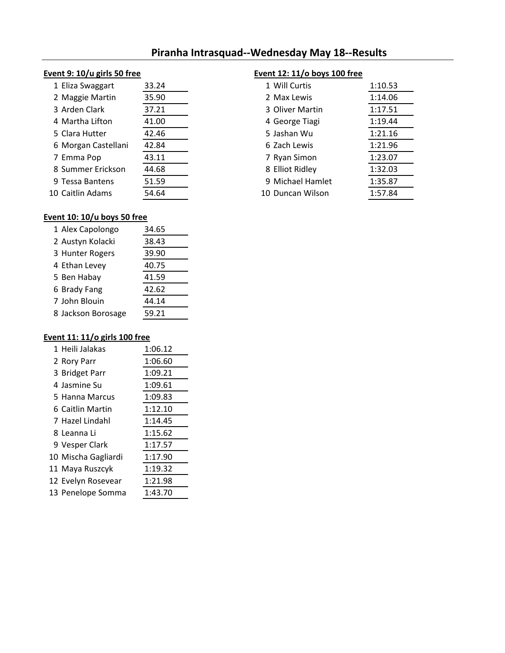# **Piranha Intrasquad--Wednesday May 18--Results**

### **Event 9: 10/u girls 50 free Event 12: 11/o boys 100 free**

| 1 Eliza Swaggart    | 33.24 | 1 Will Curtis    | 1:10.53 |
|---------------------|-------|------------------|---------|
| 2 Maggie Martin     | 35.90 | 2 Max Lewis      | 1:14.06 |
| 3 Arden Clark       | 37.21 | 3 Oliver Martin  | 1:17.51 |
| 4 Martha Lifton     | 41.00 | 4 George Tiagi   | 1:19.44 |
| 5 Clara Hutter      | 42.46 | 5 Jashan Wu      | 1:21.16 |
| 6 Morgan Castellani | 42.84 | 6 Zach Lewis     | 1:21.96 |
| 7 Emma Pop          | 43.11 | 7 Ryan Simon     | 1:23.07 |
| 8 Summer Erickson   | 44.68 | 8 Elliot Ridley  | 1:32.03 |
| 9 Tessa Bantens     | 51.59 | 9 Michael Hamlet | 1:35.87 |
| LO Caitlin Adams    | 54.64 | 10 Duncan Wilson | 1:57.84 |

| 1 Eliza Swaggart    | 33.24 | 1 Will Curtis    | 1:10.53 |
|---------------------|-------|------------------|---------|
| 2 Maggie Martin     | 35.90 | 2 Max Lewis      | 1:14.06 |
| 3 Arden Clark       | 37.21 | 3 Oliver Martin  | 1:17.51 |
| 4 Martha Lifton     | 41.00 | 4 George Tiagi   | 1:19.44 |
| 5 Clara Hutter      | 42.46 | 5 Jashan Wu      | 1:21.16 |
| 6 Morgan Castellani | 42.84 | 6 Zach Lewis     | 1:21.96 |
| 7 Emma Pop          | 43.11 | 7 Ryan Simon     | 1:23.07 |
| 8 Summer Erickson   | 44.68 | 8 Elliot Ridley  | 1:32.03 |
| 9 Tessa Bantens     | 51.59 | 9 Michael Hamlet | 1:35.87 |
| 10 Caitlin Adams    | 54.64 | 10 Duncan Wilson | 1:57.84 |

# **Event 10: 10/u boys 50 free**

| 1 Alex Capolongo   | 34.65 |
|--------------------|-------|
| 2 Austyn Kolacki   | 38.43 |
| 3 Hunter Rogers    | 39.90 |
| 4 Ethan Levey      | 40.75 |
| 5 Ben Habay        | 41.59 |
| 6 Brady Fang       | 42.62 |
| 7 John Blouin      | 44.14 |
| 8 Jackson Borosage | 59.21 |

# **Event 11: 11/o girls 100 free**

| 1 Heili Jalakas     | 1:06.12 |
|---------------------|---------|
| 2 Rory Parr         | 1:06.60 |
| 3 Bridget Parr      | 1:09.21 |
| 4 Jasmine Su        | 1:09.61 |
| 5 Hanna Marcus      | 1:09.83 |
| 6 Caitlin Martin    | 1:12.10 |
| 7 Hazel Lindahl     | 1:14.45 |
| 8 Leanna Li         | 1:15.62 |
| 9 Vesper Clark      | 1:17.57 |
| 10 Mischa Gagliardi | 1:17.90 |
| 11 Maya Ruszcyk     | 1:19.32 |
| 12 Evelyn Rosevear  | 1:21.98 |
| 13 Penelope Somma   | 1:43.70 |